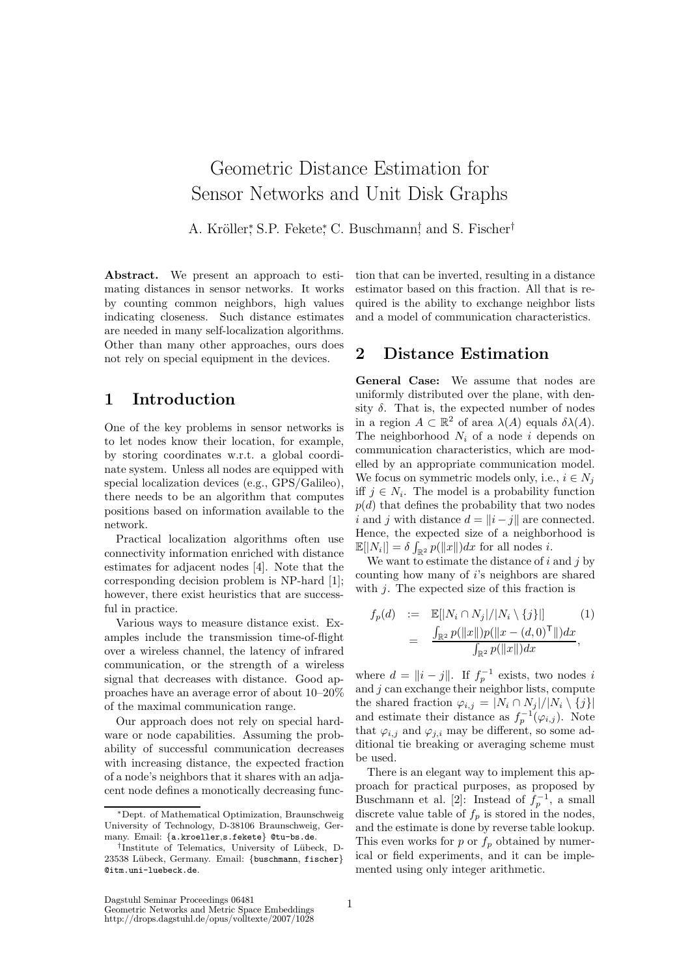# Geometric Distance Estimation for Sensor Networks and Unit Disk Graphs

A. Kröller, S.P. Fekete, C. Buschmann, and S. Fischer<sup>†</sup>

Abstract. We present an approach to estimating distances in sensor networks. It works by counting common neighbors, high values indicating closeness. Such distance estimates are needed in many self-localization algorithms. Other than many other approaches, ours does not rely on special equipment in the devices.

## 1 Introduction

One of the key problems in sensor networks is to let nodes know their location, for example, by storing coordinates w.r.t. a global coordinate system. Unless all nodes are equipped with special localization devices (e.g., GPS/Galileo), there needs to be an algorithm that computes positions based on information available to the network.

Practical localization algorithms often use connectivity information enriched with distance estimates for adjacent nodes [4]. Note that the corresponding decision problem is NP-hard [1]; however, there exist heuristics that are successful in practice.

Various ways to measure distance exist. Examples include the transmission time-of-flight over a wireless channel, the latency of infrared communication, or the strength of a wireless signal that decreases with distance. Good approaches have an average error of about 10–20% of the maximal communication range.

Our approach does not rely on special hardware or node capabilities. Assuming the probability of successful communication decreases with increasing distance, the expected fraction of a node's neighbors that it shares with an adjacent node defines a monotically decreasing func-

tion that can be inverted, resulting in a distance estimator based on this fraction. All that is required is the ability to exchange neighbor lists and a model of communication characteristics.

## 2 Distance Estimation

General Case: We assume that nodes are uniformly distributed over the plane, with density  $\delta$ . That is, the expected number of nodes in a region  $A \subset \mathbb{R}^2$  of area  $\lambda(A)$  equals  $\delta \lambda(A)$ . The neighborhood  $N_i$  of a node i depends on communication characteristics, which are modelled by an appropriate communication model. We focus on symmetric models only, i.e.,  $i \in N_i$ iff  $j \in N_i$ . The model is a probability function  $p(d)$  that defines the probability that two nodes i and j with distance  $d = ||i - j||$  are connected. Hence, the expected size of a neighborhood is  $\mathbb{E}[|N_i|] = \delta \int_{\mathbb{R}^2} p(||x||) dx$  for all nodes *i*.

We want to estimate the distance of  $i$  and  $j$  by counting how many of i's neighbors are shared with  $j$ . The expected size of this fraction is

$$
f_p(d) := \mathbb{E}[|N_i \cap N_j|/|N_i \setminus \{j\}|] \qquad (1)
$$
  
= 
$$
\frac{\int_{\mathbb{R}^2} p(||x||) p(||x - (d, 0)^{\mathsf{T}}||) dx}{\int_{\mathbb{R}^2} p(||x||) dx},
$$

where  $d = ||i - j||$ . If  $f_p^{-1}$  exists, two nodes i and  $j$  can exchange their neighbor lists, compute the shared fraction  $\varphi_{i,j} = |N_i \cap N_j|/|N_i \setminus \{j\}|$ and estimate their distance as  $f_p^{-1}(\varphi_{i,j})$ . Note that  $\varphi_{i,j}$  and  $\varphi_{j,i}$  may be different, so some additional tie breaking or averaging scheme must be used.

There is an elegant way to implement this approach for practical purposes, as proposed by Buschmann et al. [2]: Instead of  $f_p^{-1}$ , a small discrete value table of  $f_p$  is stored in the nodes, and the estimate is done by reverse table lookup. This even works for  $p$  or  $f_p$  obtained by numerical or field experiments, and it can be implemented using only integer arithmetic.

<sup>∗</sup>Dept. of Mathematical Optimization, Braunschweig University of Technology, D-38106 Braunschweig, Germany. Email: {a.kroeller,s.fekete} @tu-bs.de.

<sup>&</sup>lt;sup>†</sup>Institute of Telematics, University of Lübeck, D-23538 Lübeck, Germany. Email: {buschmann, fischer} @itm.uni-luebeck.de.

Dagstuhl Seminar Proceedings 06481